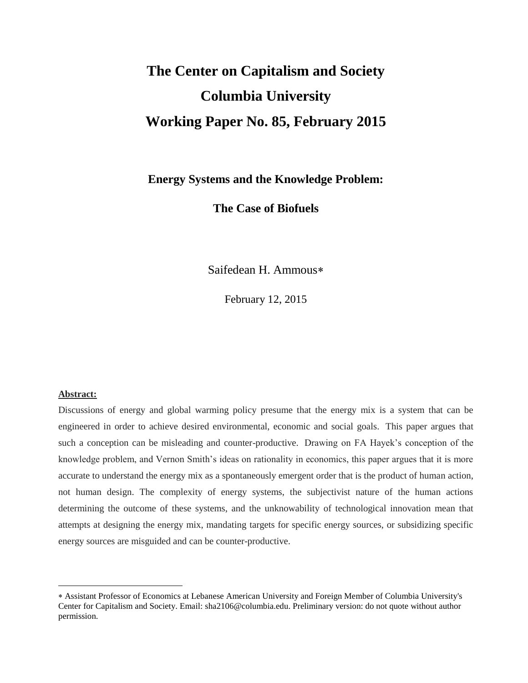# **The Center on Capitalism and Society Columbia University Working Paper No. 85, February 2015**

## **Energy Systems and the Knowledge Problem:**

**The Case of Biofuels**

Saifedean H. Ammous

February 12, 2015

#### **Abstract:**

 $\overline{a}$ 

Discussions of energy and global warming policy presume that the energy mix is a system that can be engineered in order to achieve desired environmental, economic and social goals. This paper argues that such a conception can be misleading and counter-productive. Drawing on FA Hayek's conception of the knowledge problem, and Vernon Smith's ideas on rationality in economics, this paper argues that it is more accurate to understand the energy mix as a spontaneously emergent order that is the product of human action, not human design. The complexity of energy systems, the subjectivist nature of the human actions determining the outcome of these systems, and the unknowability of technological innovation mean that attempts at designing the energy mix, mandating targets for specific energy sources, or subsidizing specific energy sources are misguided and can be counter-productive.

Assistant Professor of Economics at Lebanese American University and Foreign Member of Columbia University's Center for Capitalism and Society. Email: sha2106@columbia.edu. Preliminary version: do not quote without author permission.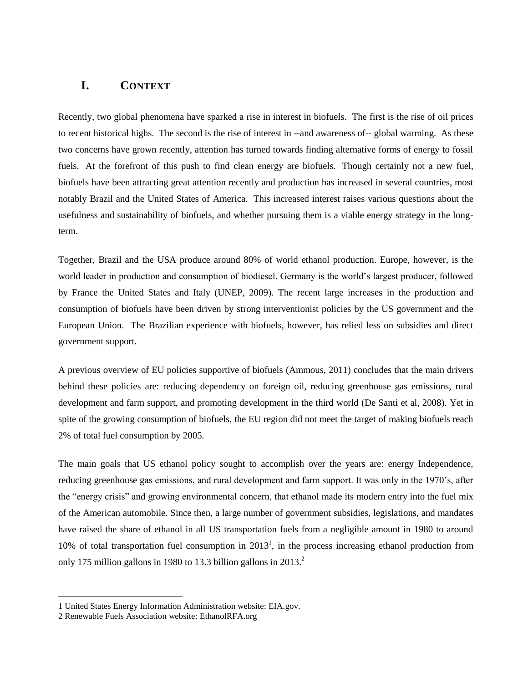## **I. CONTEXT**

Recently, two global phenomena have sparked a rise in interest in biofuels. The first is the rise of oil prices to recent historical highs. The second is the rise of interest in --and awareness of-- global warming. As these two concerns have grown recently, attention has turned towards finding alternative forms of energy to fossil fuels. At the forefront of this push to find clean energy are biofuels. Though certainly not a new fuel, biofuels have been attracting great attention recently and production has increased in several countries, most notably Brazil and the United States of America. This increased interest raises various questions about the usefulness and sustainability of biofuels, and whether pursuing them is a viable energy strategy in the longterm.

Together, Brazil and the USA produce around 80% of world ethanol production. Europe, however, is the world leader in production and consumption of biodiesel. Germany is the world's largest producer, followed by France the United States and Italy (UNEP, 2009). The recent large increases in the production and consumption of biofuels have been driven by strong interventionist policies by the US government and the European Union. The Brazilian experience with biofuels, however, has relied less on subsidies and direct government support.

A previous overview of EU policies supportive of biofuels (Ammous, 2011) concludes that the main drivers behind these policies are: reducing dependency on foreign oil, reducing greenhouse gas emissions, rural development and farm support, and promoting development in the third world (De Santi et al, 2008). Yet in spite of the growing consumption of biofuels, the EU region did not meet the target of making biofuels reach 2% of total fuel consumption by 2005.

The main goals that US ethanol policy sought to accomplish over the years are: energy Independence, reducing greenhouse gas emissions, and rural development and farm support. It was only in the 1970's, after the "energy crisis" and growing environmental concern, that ethanol made its modern entry into the fuel mix of the American automobile. Since then, a large number of government subsidies, legislations, and mandates have raised the share of ethanol in all US transportation fuels from a negligible amount in 1980 to around 10% of total transportation fuel consumption in  $2013<sup>1</sup>$ , in the process increasing ethanol production from only 175 million gallons in 1980 to 13.3 billion gallons in 2013.<sup>2</sup>

 $\overline{\phantom{a}}$ 

<sup>1</sup> United States Energy Information Administration website: EIA.gov.

<sup>2</sup> Renewable Fuels Association website: EthanolRFA.org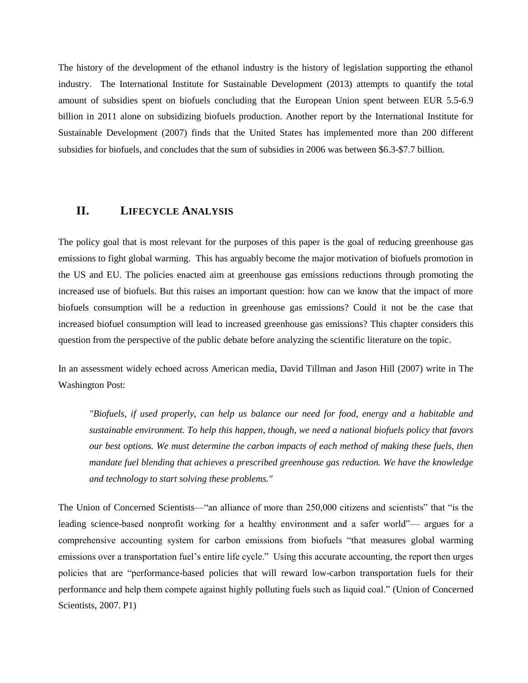The history of the development of the ethanol industry is the history of legislation supporting the ethanol industry. The International Institute for Sustainable Development (2013) attempts to quantify the total amount of subsidies spent on biofuels concluding that the European Union spent between EUR 5.5-6.9 billion in 2011 alone on subsidizing biofuels production. Another report by the International Institute for Sustainable Development (2007) finds that the United States has implemented more than 200 different subsidies for biofuels, and concludes that the sum of subsidies in 2006 was between \$6.3-\$7.7 billion.

## **II. LIFECYCLE ANALYSIS**

The policy goal that is most relevant for the purposes of this paper is the goal of reducing greenhouse gas emissions to fight global warming. This has arguably become the major motivation of biofuels promotion in the US and EU. The policies enacted aim at greenhouse gas emissions reductions through promoting the increased use of biofuels. But this raises an important question: how can we know that the impact of more biofuels consumption will be a reduction in greenhouse gas emissions? Could it not be the case that increased biofuel consumption will lead to increased greenhouse gas emissions? This chapter considers this question from the perspective of the public debate before analyzing the scientific literature on the topic.

In an assessment widely echoed across American media, David Tillman and Jason Hill (2007) write in The Washington Post:

*"Biofuels, if used properly, can help us balance our need for food, energy and a habitable and sustainable environment. To help this happen, though, we need a national biofuels policy that favors our best options. We must determine the carbon impacts of each method of making these fuels, then mandate fuel blending that achieves a prescribed greenhouse gas reduction. We have the knowledge and technology to start solving these problems."* 

The Union of Concerned Scientists—"an alliance of more than 250,000 citizens and scientists" that "is the leading science-based nonprofit working for a healthy environment and a safer world"— argues for a comprehensive accounting system for carbon emissions from biofuels "that measures global warming emissions over a transportation fuel's entire life cycle." Using this accurate accounting, the report then urges policies that are "performance-based policies that will reward low-carbon transportation fuels for their performance and help them compete against highly polluting fuels such as liquid coal." (Union of Concerned Scientists, 2007. P1)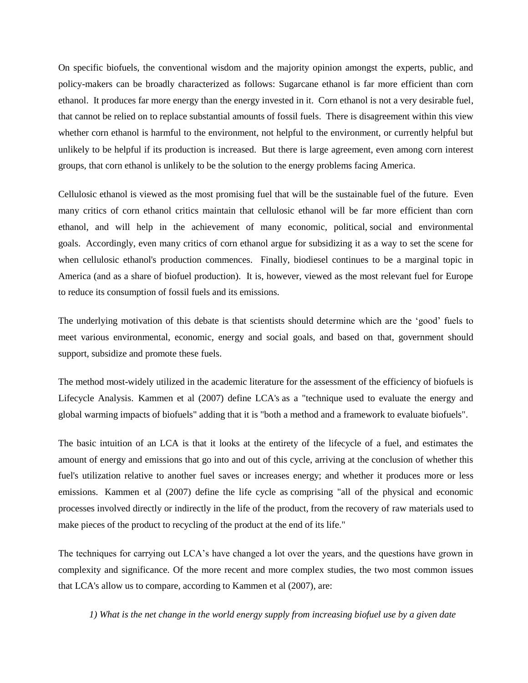On specific biofuels, the conventional wisdom and the majority opinion amongst the experts, public, and policy-makers can be broadly characterized as follows: Sugarcane ethanol is far more efficient than corn ethanol. It produces far more energy than the energy invested in it. Corn ethanol is not a very desirable fuel, that cannot be relied on to replace substantial amounts of fossil fuels. There is disagreement within this view whether corn ethanol is harmful to the environment, not helpful to the environment, or currently helpful but unlikely to be helpful if its production is increased. But there is large agreement, even among corn interest groups, that corn ethanol is unlikely to be the solution to the energy problems facing America.

Cellulosic ethanol is viewed as the most promising fuel that will be the sustainable fuel of the future. Even many critics of corn ethanol critics maintain that cellulosic ethanol will be far more efficient than corn ethanol, and will help in the achievement of many economic, political, social and environmental goals. Accordingly, even many critics of corn ethanol argue for subsidizing it as a way to set the scene for when cellulosic ethanol's production commences. Finally, biodiesel continues to be a marginal topic in America (and as a share of biofuel production). It is, however, viewed as the most relevant fuel for Europe to reduce its consumption of fossil fuels and its emissions.

The underlying motivation of this debate is that scientists should determine which are the 'good' fuels to meet various environmental, economic, energy and social goals, and based on that, government should support, subsidize and promote these fuels.

The method most-widely utilized in the academic literature for the assessment of the efficiency of biofuels is Lifecycle Analysis. Kammen et al (2007) define LCA's as a "technique used to evaluate the energy and global warming impacts of biofuels" adding that it is "both a method and a framework to evaluate biofuels".

The basic intuition of an LCA is that it looks at the entirety of the lifecycle of a fuel, and estimates the amount of energy and emissions that go into and out of this cycle, arriving at the conclusion of whether this fuel's utilization relative to another fuel saves or increases energy; and whether it produces more or less emissions. Kammen et al (2007) define the life cycle as comprising "all of the physical and economic processes involved directly or indirectly in the life of the product, from the recovery of raw materials used to make pieces of the product to recycling of the product at the end of its life."

The techniques for carrying out LCA's have changed a lot over the years, and the questions have grown in complexity and significance. Of the more recent and more complex studies, the two most common issues that LCA's allow us to compare, according to Kammen et al (2007), are:

*1) What is the net change in the world energy supply from increasing biofuel use by a given date*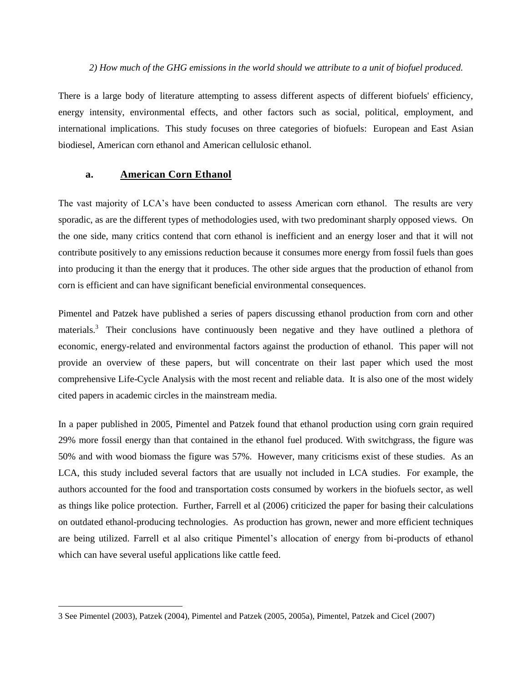#### *2) How much of the GHG emissions in the world should we attribute to a unit of biofuel produced.*

There is a large body of literature attempting to assess different aspects of different biofuels' efficiency, energy intensity, environmental effects, and other factors such as social, political, employment, and international implications. This study focuses on three categories of biofuels: European and East Asian biodiesel, American corn ethanol and American cellulosic ethanol.

#### **a. American Corn Ethanol**

 $\overline{\phantom{a}}$ 

The vast majority of LCA's have been conducted to assess American corn ethanol. The results are very sporadic, as are the different types of methodologies used, with two predominant sharply opposed views. On the one side, many critics contend that corn ethanol is inefficient and an energy loser and that it will not contribute positively to any emissions reduction because it consumes more energy from fossil fuels than goes into producing it than the energy that it produces. The other side argues that the production of ethanol from corn is efficient and can have significant beneficial environmental consequences.

Pimentel and Patzek have published a series of papers discussing ethanol production from corn and other materials.<sup>3</sup> Their conclusions have continuously been negative and they have outlined a plethora of economic, energy-related and environmental factors against the production of ethanol. This paper will not provide an overview of these papers, but will concentrate on their last paper which used the most comprehensive Life-Cycle Analysis with the most recent and reliable data. It is also one of the most widely cited papers in academic circles in the mainstream media.

In a paper published in 2005, Pimentel and Patzek found that ethanol production using corn grain required 29% more fossil energy than that contained in the ethanol fuel produced. With switchgrass, the figure was 50% and with wood biomass the figure was 57%. However, many criticisms exist of these studies. As an LCA, this study included several factors that are usually not included in LCA studies. For example, the authors accounted for the food and transportation costs consumed by workers in the biofuels sector, as well as things like police protection. Further, Farrell et al (2006) criticized the paper for basing their calculations on outdated ethanol-producing technologies. As production has grown, newer and more efficient techniques are being utilized. Farrell et al also critique Pimentel's allocation of energy from bi-products of ethanol which can have several useful applications like cattle feed.

<sup>3</sup> See Pimentel (2003), Patzek (2004), Pimentel and Patzek (2005, 2005a), Pimentel, Patzek and Cicel (2007)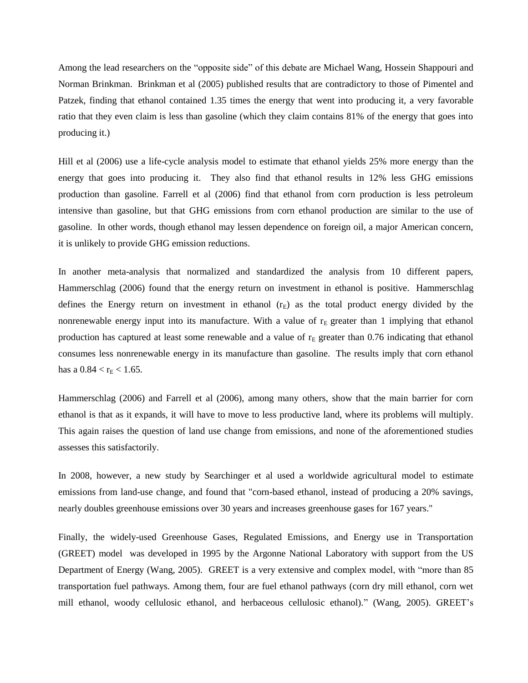Among the lead researchers on the "opposite side" of this debate are Michael Wang, Hossein Shappouri and Norman Brinkman. Brinkman et al (2005) published results that are contradictory to those of Pimentel and Patzek, finding that ethanol contained 1.35 times the energy that went into producing it, a very favorable ratio that they even claim is less than gasoline (which they claim contains 81% of the energy that goes into producing it.)

Hill et al (2006) use a life-cycle analysis model to estimate that ethanol yields 25% more energy than the energy that goes into producing it. They also find that ethanol results in 12% less GHG emissions production than gasoline. Farrell et al (2006) find that ethanol from corn production is less petroleum intensive than gasoline, but that GHG emissions from corn ethanol production are similar to the use of gasoline. In other words, though ethanol may lessen dependence on foreign oil, a major American concern, it is unlikely to provide GHG emission reductions.

In another meta-analysis that normalized and standardized the analysis from 10 different papers, Hammerschlag (2006) found that the energy return on investment in ethanol is positive. Hammerschlag defines the Energy return on investment in ethanol  $(r_E)$  as the total product energy divided by the nonrenewable energy input into its manufacture. With a value of  $r<sub>E</sub>$  greater than 1 implying that ethanol production has captured at least some renewable and a value of  $r<sub>E</sub>$  greater than 0.76 indicating that ethanol consumes less nonrenewable energy in its manufacture than gasoline. The results imply that corn ethanol has a  $0.84 < r_E < 1.65$ .

Hammerschlag (2006) and Farrell et al (2006), among many others, show that the main barrier for corn ethanol is that as it expands, it will have to move to less productive land, where its problems will multiply. This again raises the question of land use change from emissions, and none of the aforementioned studies assesses this satisfactorily.

In 2008, however, a new study by Searchinger et al used a worldwide agricultural model to estimate emissions from land-use change, and found that "corn-based ethanol, instead of producing a 20% savings, nearly doubles greenhouse emissions over 30 years and increases greenhouse gases for 167 years."

Finally, the widely-used Greenhouse Gases, Regulated Emissions, and Energy use in Transportation (GREET) model was developed in 1995 by the Argonne National Laboratory with support from the US Department of Energy (Wang, 2005). GREET is a very extensive and complex model, with "more than 85 transportation fuel pathways. Among them, four are fuel ethanol pathways (corn dry mill ethanol, corn wet mill ethanol, woody cellulosic ethanol, and herbaceous cellulosic ethanol)." (Wang, 2005). GREET's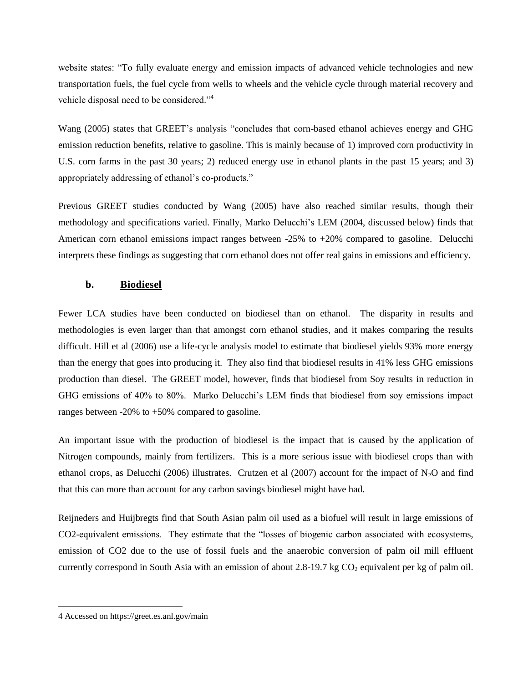website states: "To fully evaluate energy and emission impacts of advanced vehicle technologies and new transportation fuels, the fuel cycle from wells to wheels and the vehicle cycle through material recovery and vehicle disposal need to be considered."<sup>4</sup>

Wang (2005) states that GREET's analysis "concludes that corn-based ethanol achieves energy and GHG emission reduction benefits, relative to gasoline. This is mainly because of 1) improved corn productivity in U.S. corn farms in the past 30 years; 2) reduced energy use in ethanol plants in the past 15 years; and 3) appropriately addressing of ethanol's co-products."

Previous GREET studies conducted by Wang (2005) have also reached similar results, though their methodology and specifications varied. Finally, Marko Delucchi's LEM (2004, discussed below) finds that American corn ethanol emissions impact ranges between -25% to +20% compared to gasoline. Delucchi interprets these findings as suggesting that corn ethanol does not offer real gains in emissions and efficiency.

## **b. Biodiesel**

Fewer LCA studies have been conducted on biodiesel than on ethanol. The disparity in results and methodologies is even larger than that amongst corn ethanol studies, and it makes comparing the results difficult. Hill et al (2006) use a life-cycle analysis model to estimate that biodiesel yields 93% more energy than the energy that goes into producing it. They also find that biodiesel results in 41% less GHG emissions production than diesel. The GREET model, however, finds that biodiesel from Soy results in reduction in GHG emissions of 40% to 80%. Marko Delucchi's LEM finds that biodiesel from soy emissions impact ranges between  $-20\%$  to  $+50\%$  compared to gasoline.

An important issue with the production of biodiesel is the impact that is caused by the application of Nitrogen compounds, mainly from fertilizers. This is a more serious issue with biodiesel crops than with ethanol crops, as Delucchi (2006) illustrates. Crutzen et al (2007) account for the impact of N<sub>2</sub>O and find that this can more than account for any carbon savings biodiesel might have had.

Reijneders and Huijbregts find that South Asian palm oil used as a biofuel will result in large emissions of CO2-equivalent emissions. They estimate that the "losses of biogenic carbon associated with ecosystems, emission of CO2 due to the use of fossil fuels and the anaerobic conversion of palm oil mill effluent currently correspond in South Asia with an emission of about 2.8-19.7 kg  $CO<sub>2</sub>$  equivalent per kg of palm oil.

 $\overline{\phantom{a}}$ 

<sup>4</sup> Accessed on https://greet.es.anl.gov/main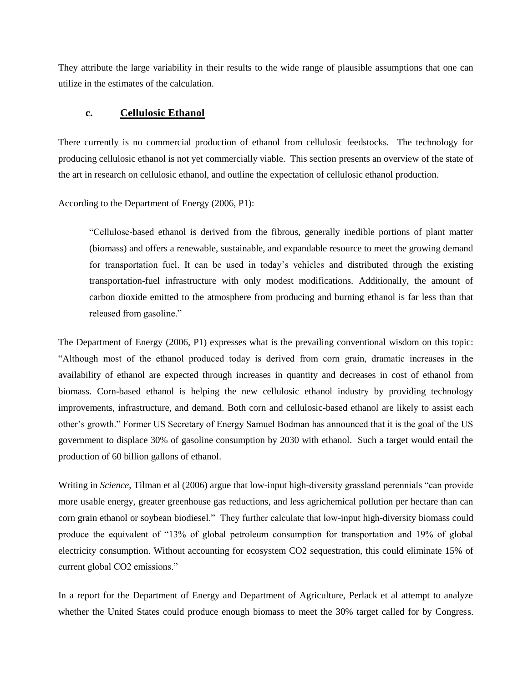They attribute the large variability in their results to the wide range of plausible assumptions that one can utilize in the estimates of the calculation.

#### **c. Cellulosic Ethanol**

There currently is no commercial production of ethanol from cellulosic feedstocks. The technology for producing cellulosic ethanol is not yet commercially viable. This section presents an overview of the state of the art in research on cellulosic ethanol, and outline the expectation of cellulosic ethanol production.

According to the Department of Energy (2006, P1):

"Cellulose-based ethanol is derived from the fibrous, generally inedible portions of plant matter (biomass) and offers a renewable, sustainable, and expandable resource to meet the growing demand for transportation fuel. It can be used in today's vehicles and distributed through the existing transportation-fuel infrastructure with only modest modifications. Additionally, the amount of carbon dioxide emitted to the atmosphere from producing and burning ethanol is far less than that released from gasoline."

The Department of Energy (2006, P1) expresses what is the prevailing conventional wisdom on this topic: "Although most of the ethanol produced today is derived from corn grain, dramatic increases in the availability of ethanol are expected through increases in quantity and decreases in cost of ethanol from biomass. Corn-based ethanol is helping the new cellulosic ethanol industry by providing technology improvements, infrastructure, and demand. Both corn and cellulosic-based ethanol are likely to assist each other's growth." Former US Secretary of Energy Samuel Bodman has announced that it is the goal of the US government to displace 30% of gasoline consumption by 2030 with ethanol. Such a target would entail the production of 60 billion gallons of ethanol.

Writing in *Science*, Tilman et al (2006) argue that low-input high-diversity grassland perennials "can provide more usable energy, greater greenhouse gas reductions, and less agrichemical pollution per hectare than can corn grain ethanol or soybean biodiesel." They further calculate that low-input high-diversity biomass could produce the equivalent of "13% of global petroleum consumption for transportation and 19% of global electricity consumption. Without accounting for ecosystem CO2 sequestration, this could eliminate 15% of current global CO2 emissions."

In a report for the Department of Energy and Department of Agriculture, Perlack et al attempt to analyze whether the United States could produce enough biomass to meet the 30% target called for by Congress.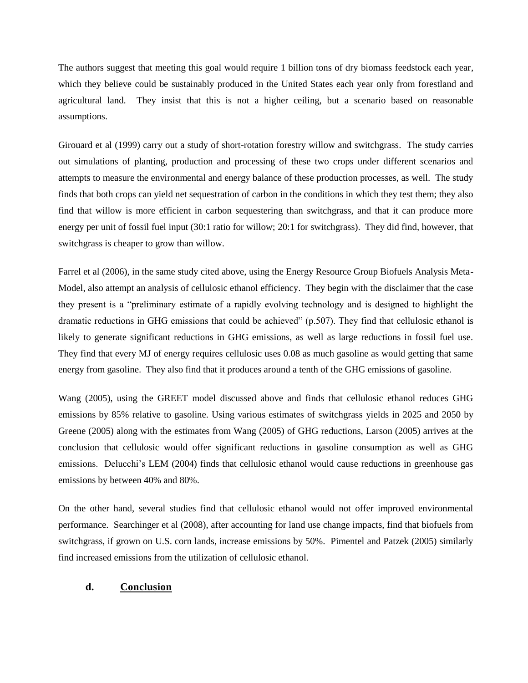The authors suggest that meeting this goal would require 1 billion tons of dry biomass feedstock each year, which they believe could be sustainably produced in the United States each year only from forestland and agricultural land. They insist that this is not a higher ceiling, but a scenario based on reasonable assumptions.

Girouard et al (1999) carry out a study of short-rotation forestry willow and switchgrass. The study carries out simulations of planting, production and processing of these two crops under different scenarios and attempts to measure the environmental and energy balance of these production processes, as well. The study finds that both crops can yield net sequestration of carbon in the conditions in which they test them; they also find that willow is more efficient in carbon sequestering than switchgrass, and that it can produce more energy per unit of fossil fuel input (30:1 ratio for willow; 20:1 for switchgrass). They did find, however, that switchgrass is cheaper to grow than willow.

Farrel et al (2006), in the same study cited above, using the Energy Resource Group Biofuels Analysis Meta-Model, also attempt an analysis of cellulosic ethanol efficiency. They begin with the disclaimer that the case they present is a "preliminary estimate of a rapidly evolving technology and is designed to highlight the dramatic reductions in GHG emissions that could be achieved" (p.507). They find that cellulosic ethanol is likely to generate significant reductions in GHG emissions, as well as large reductions in fossil fuel use. They find that every MJ of energy requires cellulosic uses 0.08 as much gasoline as would getting that same energy from gasoline. They also find that it produces around a tenth of the GHG emissions of gasoline.

Wang (2005), using the GREET model discussed above and finds that cellulosic ethanol reduces GHG emissions by 85% relative to gasoline. Using various estimates of switchgrass yields in 2025 and 2050 by Greene (2005) along with the estimates from Wang (2005) of GHG reductions, Larson (2005) arrives at the conclusion that cellulosic would offer significant reductions in gasoline consumption as well as GHG emissions. Delucchi's LEM (2004) finds that cellulosic ethanol would cause reductions in greenhouse gas emissions by between 40% and 80%.

On the other hand, several studies find that cellulosic ethanol would not offer improved environmental performance. Searchinger et al (2008), after accounting for land use change impacts, find that biofuels from switchgrass, if grown on U.S. corn lands, increase emissions by 50%. Pimentel and Patzek (2005) similarly find increased emissions from the utilization of cellulosic ethanol.

## **d. Conclusion**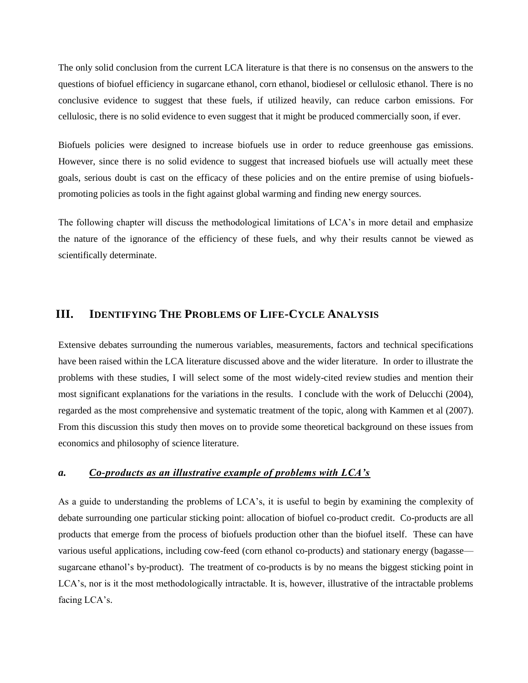The only solid conclusion from the current LCA literature is that there is no consensus on the answers to the questions of biofuel efficiency in sugarcane ethanol, corn ethanol, biodiesel or cellulosic ethanol. There is no conclusive evidence to suggest that these fuels, if utilized heavily, can reduce carbon emissions. For cellulosic, there is no solid evidence to even suggest that it might be produced commercially soon, if ever.

Biofuels policies were designed to increase biofuels use in order to reduce greenhouse gas emissions. However, since there is no solid evidence to suggest that increased biofuels use will actually meet these goals, serious doubt is cast on the efficacy of these policies and on the entire premise of using biofuelspromoting policies as tools in the fight against global warming and finding new energy sources.

The following chapter will discuss the methodological limitations of LCA's in more detail and emphasize the nature of the ignorance of the efficiency of these fuels, and why their results cannot be viewed as scientifically determinate.

## **III. IDENTIFYING THE PROBLEMS OF LIFE-CYCLE ANALYSIS**

Extensive debates surrounding the numerous variables, measurements, factors and technical specifications have been raised within the LCA literature discussed above and the wider literature. In order to illustrate the problems with these studies, I will select some of the most widely-cited review studies and mention their most significant explanations for the variations in the results. I conclude with the work of Delucchi (2004), regarded as the most comprehensive and systematic treatment of the topic, along with Kammen et al (2007). From this discussion this study then moves on to provide some theoretical background on these issues from economics and philosophy of science literature.

#### *a. Co-products as an illustrative example of problems with LCA's*

As a guide to understanding the problems of LCA's, it is useful to begin by examining the complexity of debate surrounding one particular sticking point: allocation of biofuel co-product credit. Co-products are all products that emerge from the process of biofuels production other than the biofuel itself. These can have various useful applications, including cow-feed (corn ethanol co-products) and stationary energy (bagasse sugarcane ethanol's by-product). The treatment of co-products is by no means the biggest sticking point in LCA's, nor is it the most methodologically intractable. It is, however, illustrative of the intractable problems facing LCA's.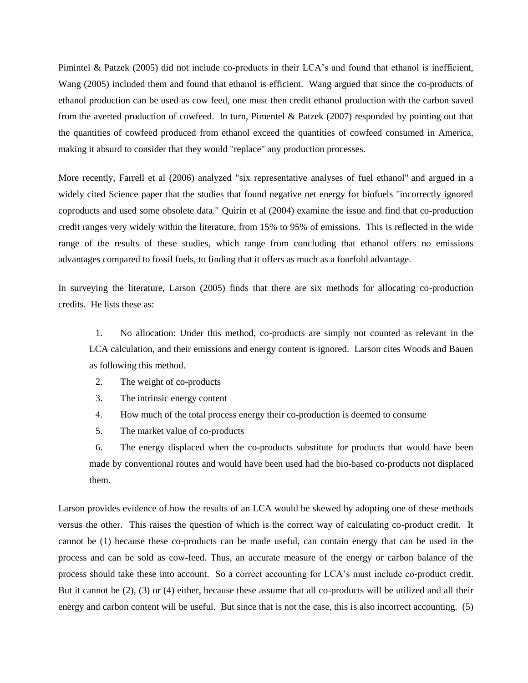Pimintel & Patzek (2005) did not include co-products in their LCA's and found that ethanol is inefficient, Wang (2005) included them and found that ethanol is efficient. Wang argued that since the co-products of ethanol production can be used as cow feed, one must then credit ethanol production with the carbon saved from the averted production of cowfeed. In turn, Pimentel & Patzek (2007) responded by pointing out that the quantities of cowfeed produced from ethanol exceed the quantities of cowfeed consumed in America, making it absurd to consider that they would "replace" any production processes.

More recently, Farrell et al (2006) analyzed "six representative analyses of fuel ethanol" and argued in a widely cited Science paper that the studies that found negative net energy for biofuels "incorrectly ignored coproducts and used some obsolete data." Quirin et al (2004) examine the issue and find that co-production credit ranges very widely within the literature, from 15% to 95% of emissions. This is reflected in the wide range of the results of these studies, which range from concluding that ethanol offers no emissions advantages compared to fossil fuels, to finding that it offers as much as a fourfold advantage.

In surveying the literature, Larson (2005) finds that there are six methods for allocating co-production credits. He lists these as:

1. No allocation: Under this method, co-products are simply not counted as relevant in the LCA calculation, and their emissions and energy content is ignored. Larson cites Woods and Bauen as following this method.

- 2. The weight of co-products
- 3. The intrinsic energy content
- 4. How much of the total process energy their co-production is deemed to consume
- 5. The market value of co-products

6. The energy displaced when the co-products substitute for products that would have been made by conventional routes and would have been used had the bio-based co-products not displaced them.

Larson provides evidence of how the results of an LCA would be skewed by adopting one of these methods versus the other. This raises the question of which is the correct way of calculating co-product credit. It cannot be (1) because these co-products can be made useful, can contain energy that can be used in the process and can be sold as cow-feed. Thus, an accurate measure of the energy or carbon balance of the process should take these into account. So a correct accounting for LCA's must include co-product credit. But it cannot be (2), (3) or (4) either, because these assume that all co-products will be utilized and all their energy and carbon content will be useful. But since that is not the case, this is also incorrect accounting. (5)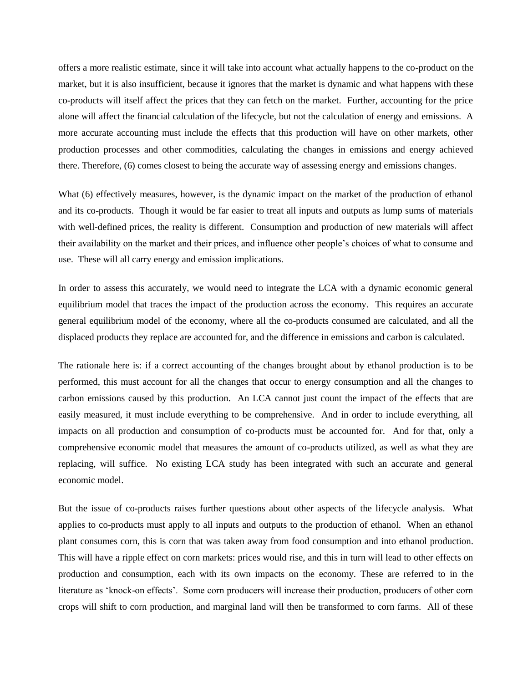offers a more realistic estimate, since it will take into account what actually happens to the co-product on the market, but it is also insufficient, because it ignores that the market is dynamic and what happens with these co-products will itself affect the prices that they can fetch on the market. Further, accounting for the price alone will affect the financial calculation of the lifecycle, but not the calculation of energy and emissions. A more accurate accounting must include the effects that this production will have on other markets, other production processes and other commodities, calculating the changes in emissions and energy achieved there. Therefore, (6) comes closest to being the accurate way of assessing energy and emissions changes.

What (6) effectively measures, however, is the dynamic impact on the market of the production of ethanol and its co-products. Though it would be far easier to treat all inputs and outputs as lump sums of materials with well-defined prices, the reality is different. Consumption and production of new materials will affect their availability on the market and their prices, and influence other people's choices of what to consume and use. These will all carry energy and emission implications.

In order to assess this accurately, we would need to integrate the LCA with a dynamic economic general equilibrium model that traces the impact of the production across the economy. This requires an accurate general equilibrium model of the economy, where all the co-products consumed are calculated, and all the displaced products they replace are accounted for, and the difference in emissions and carbon is calculated.

The rationale here is: if a correct accounting of the changes brought about by ethanol production is to be performed, this must account for all the changes that occur to energy consumption and all the changes to carbon emissions caused by this production. An LCA cannot just count the impact of the effects that are easily measured, it must include everything to be comprehensive. And in order to include everything, all impacts on all production and consumption of co-products must be accounted for. And for that, only a comprehensive economic model that measures the amount of co-products utilized, as well as what they are replacing, will suffice. No existing LCA study has been integrated with such an accurate and general economic model.

But the issue of co-products raises further questions about other aspects of the lifecycle analysis. What applies to co-products must apply to all inputs and outputs to the production of ethanol. When an ethanol plant consumes corn, this is corn that was taken away from food consumption and into ethanol production. This will have a ripple effect on corn markets: prices would rise, and this in turn will lead to other effects on production and consumption, each with its own impacts on the economy. These are referred to in the literature as 'knock-on effects'. Some corn producers will increase their production, producers of other corn crops will shift to corn production, and marginal land will then be transformed to corn farms. All of these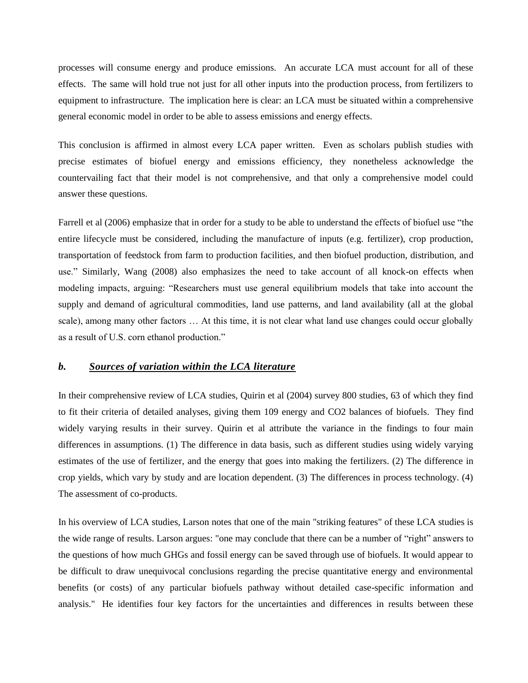processes will consume energy and produce emissions. An accurate LCA must account for all of these effects. The same will hold true not just for all other inputs into the production process, from fertilizers to equipment to infrastructure. The implication here is clear: an LCA must be situated within a comprehensive general economic model in order to be able to assess emissions and energy effects.

This conclusion is affirmed in almost every LCA paper written. Even as scholars publish studies with precise estimates of biofuel energy and emissions efficiency, they nonetheless acknowledge the countervailing fact that their model is not comprehensive, and that only a comprehensive model could answer these questions.

Farrell et al (2006) emphasize that in order for a study to be able to understand the effects of biofuel use "the entire lifecycle must be considered, including the manufacture of inputs (e.g. fertilizer), crop production, transportation of feedstock from farm to production facilities, and then biofuel production, distribution, and use." Similarly, Wang (2008) also emphasizes the need to take account of all knock-on effects when modeling impacts, arguing: "Researchers must use general equilibrium models that take into account the supply and demand of agricultural commodities, land use patterns, and land availability (all at the global scale), among many other factors … At this time, it is not clear what land use changes could occur globally as a result of U.S. corn ethanol production."

#### *b. Sources of variation within the LCA literature*

In their comprehensive review of LCA studies, Quirin et al (2004) survey 800 studies, 63 of which they find to fit their criteria of detailed analyses, giving them 109 energy and CO2 balances of biofuels. They find widely varying results in their survey. Quirin et al attribute the variance in the findings to four main differences in assumptions. (1) The difference in data basis, such as different studies using widely varying estimates of the use of fertilizer, and the energy that goes into making the fertilizers. (2) The difference in crop yields, which vary by study and are location dependent. (3) The differences in process technology. (4) The assessment of co-products.

In his overview of LCA studies, Larson notes that one of the main "striking features" of these LCA studies is the wide range of results. Larson argues: "one may conclude that there can be a number of "right" answers to the questions of how much GHGs and fossil energy can be saved through use of biofuels. It would appear to be difficult to draw unequivocal conclusions regarding the precise quantitative energy and environmental benefits (or costs) of any particular biofuels pathway without detailed case-specific information and analysis." He identifies four key factors for the uncertainties and differences in results between these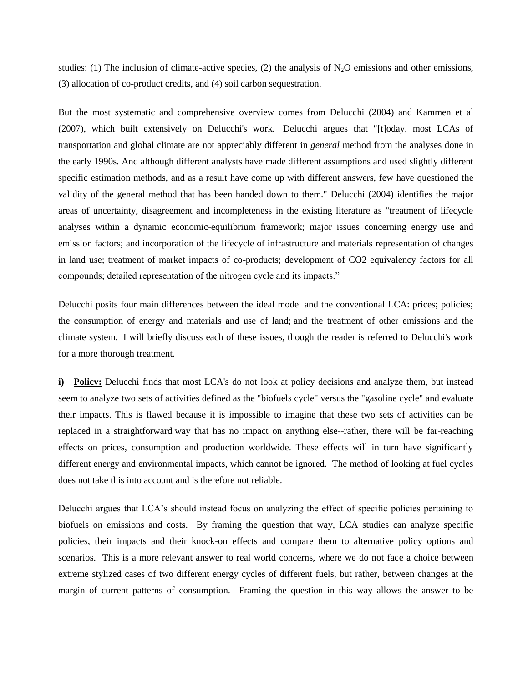studies: (1) The inclusion of climate-active species, (2) the analysis of  $N<sub>2</sub>O$  emissions and other emissions, (3) allocation of co-product credits, and (4) soil carbon sequestration.

But the most systematic and comprehensive overview comes from Delucchi (2004) and Kammen et al (2007), which built extensively on Delucchi's work. Delucchi argues that "[t]oday, most LCAs of transportation and global climate are not appreciably different in *general* method from the analyses done in the early 1990s. And although different analysts have made different assumptions and used slightly different specific estimation methods, and as a result have come up with different answers, few have questioned the validity of the general method that has been handed down to them." Delucchi (2004) identifies the major areas of uncertainty, disagreement and incompleteness in the existing literature as "treatment of lifecycle analyses within a dynamic economic-equilibrium framework; major issues concerning energy use and emission factors; and incorporation of the lifecycle of infrastructure and materials representation of changes in land use; treatment of market impacts of co-products; development of CO2 equivalency factors for all compounds; detailed representation of the nitrogen cycle and its impacts."

Delucchi posits four main differences between the ideal model and the conventional LCA: prices; policies; the consumption of energy and materials and use of land; and the treatment of other emissions and the climate system. I will briefly discuss each of these issues, though the reader is referred to Delucchi's work for a more thorough treatment.

**i) Policy:** Delucchi finds that most LCA's do not look at policy decisions and analyze them, but instead seem to analyze two sets of activities defined as the "biofuels cycle" versus the "gasoline cycle" and evaluate their impacts. This is flawed because it is impossible to imagine that these two sets of activities can be replaced in a straightforward way that has no impact on anything else--rather, there will be far-reaching effects on prices, consumption and production worldwide. These effects will in turn have significantly different energy and environmental impacts, which cannot be ignored. The method of looking at fuel cycles does not take this into account and is therefore not reliable.

Delucchi argues that LCA's should instead focus on analyzing the effect of specific policies pertaining to biofuels on emissions and costs. By framing the question that way, LCA studies can analyze specific policies, their impacts and their knock-on effects and compare them to alternative policy options and scenarios. This is a more relevant answer to real world concerns, where we do not face a choice between extreme stylized cases of two different energy cycles of different fuels, but rather, between changes at the margin of current patterns of consumption. Framing the question in this way allows the answer to be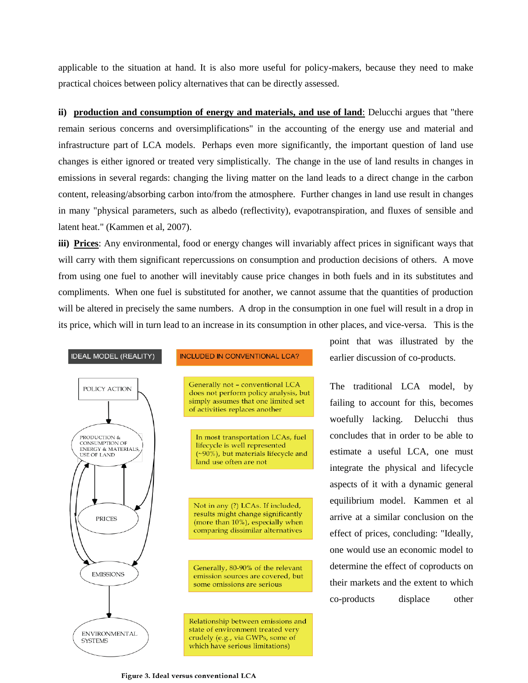applicable to the situation at hand. It is also more useful for policy-makers, because they need to make practical choices between policy alternatives that can be directly assessed.

**ii) production and consumption of energy and materials, and use of land:** Delucchi argues that "there remain serious concerns and oversimplifications" in the accounting of the energy use and material and infrastructure part of LCA models. Perhaps even more significantly, the important question of land use changes is either ignored or treated very simplistically. The change in the use of land results in changes in emissions in several regards: changing the living matter on the land leads to a direct change in the carbon content, releasing/absorbing carbon into/from the atmosphere. Further changes in land use result in changes in many "physical parameters, such as albedo (reflectivity), evapotranspiration, and fluxes of sensible and latent heat." (Kammen et al, 2007).

**iii) Prices**: Any environmental, food or energy changes will invariably affect prices in significant ways that will carry with them significant repercussions on consumption and production decisions of others. A move from using one fuel to another will inevitably cause price changes in both fuels and in its substitutes and compliments. When one fuel is substituted for another, we cannot assume that the quantities of production will be altered in precisely the same numbers. A drop in the consumption in one fuel will result in a drop in its price, which will in turn lead to an increase in its consumption in other places, and vice-versa. This is the



point that was illustrated by the earlier discussion of co-products.

The traditional LCA model, by failing to account for this, becomes woefully lacking. Delucchi thus concludes that in order to be able to estimate a useful LCA, one must integrate the physical and lifecycle aspects of it with a dynamic general equilibrium model. Kammen et al arrive at a similar conclusion on the effect of prices, concluding: "Ideally, one would use an economic model to determine the effect of coproducts on their markets and the extent to which co-products displace other

Figure 3. Ideal versus conventional LCA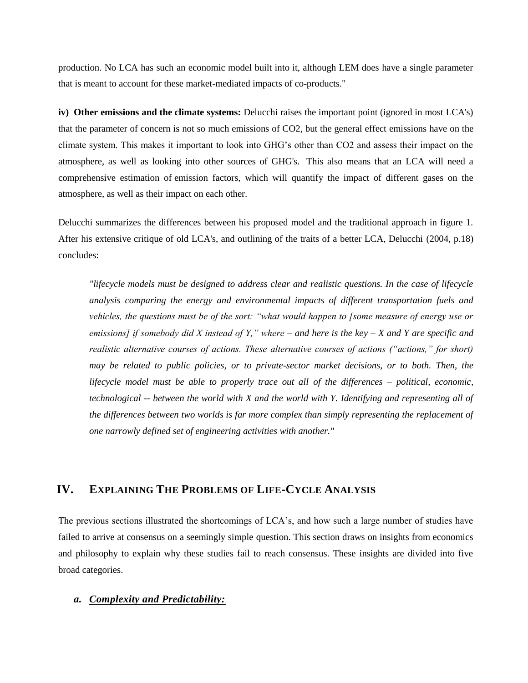production. No LCA has such an economic model built into it, although LEM does have a single parameter that is meant to account for these market-mediated impacts of co-products."

**iv) Other emissions and the climate systems:** Delucchi raises the important point (ignored in most LCA's) that the parameter of concern is not so much emissions of CO2, but the general effect emissions have on the climate system. This makes it important to look into GHG's other than CO2 and assess their impact on the atmosphere, as well as looking into other sources of GHG's. This also means that an LCA will need a comprehensive estimation of emission factors, which will quantify the impact of different gases on the atmosphere, as well as their impact on each other.

Delucchi summarizes the differences between his proposed model and the traditional approach in figure 1. After his extensive critique of old LCA's, and outlining of the traits of a better LCA, Delucchi (2004, p.18) concludes:

*"lifecycle models must be designed to address clear and realistic questions. In the case of lifecycle analysis comparing the energy and environmental impacts of different transportation fuels and vehicles, the questions must be of the sort: "what would happen to [some measure of energy use or emissions] if somebody did X instead of Y," where – and here is the key – X and Y are specific and realistic alternative courses of actions. These alternative courses of actions ("actions," for short) may be related to public policies, or to private-sector market decisions, or to both. Then, the lifecycle model must be able to properly trace out all of the differences – political, economic, technological -- between the world with X and the world with Y. Identifying and representing all of the differences between two worlds is far more complex than simply representing the replacement of one narrowly defined set of engineering activities with another."*

## **IV. EXPLAINING THE PROBLEMS OF LIFE-CYCLE ANALYSIS**

The previous sections illustrated the shortcomings of LCA's, and how such a large number of studies have failed to arrive at consensus on a seemingly simple question. This section draws on insights from economics and philosophy to explain why these studies fail to reach consensus. These insights are divided into five broad categories.

#### *a. Complexity and Predictability:*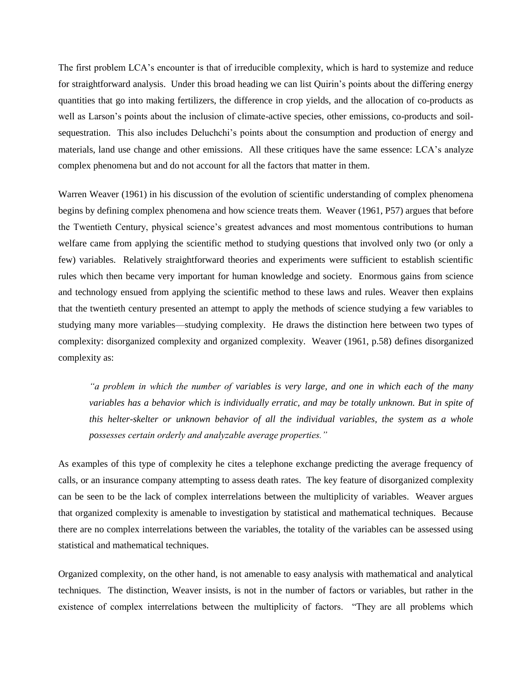The first problem LCA's encounter is that of irreducible complexity, which is hard to systemize and reduce for straightforward analysis. Under this broad heading we can list Quirin's points about the differing energy quantities that go into making fertilizers, the difference in crop yields, and the allocation of co-products as well as Larson's points about the inclusion of climate-active species, other emissions, co-products and soilsequestration. This also includes Deluchchi's points about the consumption and production of energy and materials, land use change and other emissions. All these critiques have the same essence: LCA's analyze complex phenomena but and do not account for all the factors that matter in them.

Warren Weaver (1961) in his discussion of the evolution of scientific understanding of complex phenomena begins by defining complex phenomena and how science treats them. Weaver (1961, P57) argues that before the Twentieth Century, physical science's greatest advances and most momentous contributions to human welfare came from applying the scientific method to studying questions that involved only two (or only a few) variables. Relatively straightforward theories and experiments were sufficient to establish scientific rules which then became very important for human knowledge and society. Enormous gains from science and technology ensued from applying the scientific method to these laws and rules. Weaver then explains that the twentieth century presented an attempt to apply the methods of science studying a few variables to studying many more variables—studying complexity. He draws the distinction here between two types of complexity: disorganized complexity and organized complexity. Weaver (1961, p.58) defines disorganized complexity as:

*"a problem in which the number of variables is very large, and one in which each of the many variables has a behavior which is individually erratic, and may be totally unknown. But in spite of this helter-skelter or unknown behavior of all the individual variables, the system as a whole possesses certain orderly and analyzable average properties."*

As examples of this type of complexity he cites a telephone exchange predicting the average frequency of calls, or an insurance company attempting to assess death rates. The key feature of disorganized complexity can be seen to be the lack of complex interrelations between the multiplicity of variables. Weaver argues that organized complexity is amenable to investigation by statistical and mathematical techniques. Because there are no complex interrelations between the variables, the totality of the variables can be assessed using statistical and mathematical techniques.

Organized complexity, on the other hand, is not amenable to easy analysis with mathematical and analytical techniques. The distinction, Weaver insists, is not in the number of factors or variables, but rather in the existence of complex interrelations between the multiplicity of factors. "They are all problems which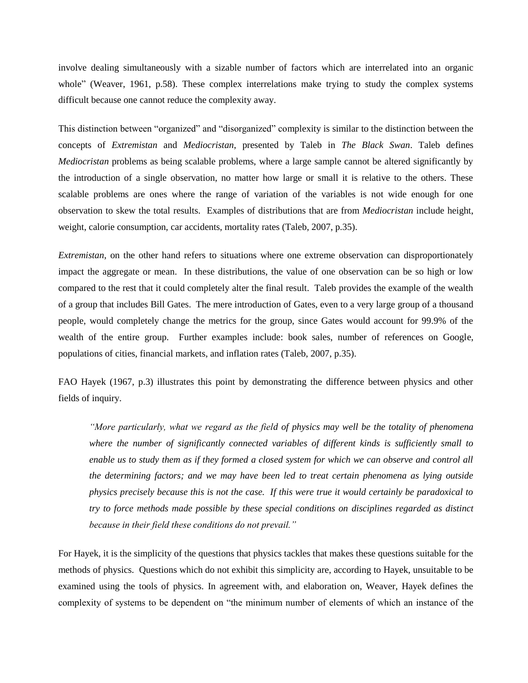involve dealing simultaneously with a sizable number of factors which are interrelated into an organic whole" (Weaver, 1961, p.58). These complex interrelations make trying to study the complex systems difficult because one cannot reduce the complexity away.

This distinction between "organized" and "disorganized" complexity is similar to the distinction between the concepts of *Extremistan* and *Mediocristan*, presented by Taleb in *The Black Swan*. Taleb defines *Mediocristan* problems as being scalable problems, where a large sample cannot be altered significantly by the introduction of a single observation, no matter how large or small it is relative to the others. These scalable problems are ones where the range of variation of the variables is not wide enough for one observation to skew the total results. Examples of distributions that are from *Mediocristan* include height, weight, calorie consumption, car accidents, mortality rates (Taleb, 2007, p.35).

*Extremistan*, on the other hand refers to situations where one extreme observation can disproportionately impact the aggregate or mean. In these distributions, the value of one observation can be so high or low compared to the rest that it could completely alter the final result. Taleb provides the example of the wealth of a group that includes Bill Gates. The mere introduction of Gates, even to a very large group of a thousand people, would completely change the metrics for the group, since Gates would account for 99.9% of the wealth of the entire group. Further examples include: book sales, number of references on Google, populations of cities, financial markets, and inflation rates (Taleb, 2007, p.35).

FAO Hayek (1967, p.3) illustrates this point by demonstrating the difference between physics and other fields of inquiry.

*"More particularly, what we regard as the field of physics may well be the totality of phenomena where the number of significantly connected variables of different kinds is sufficiently small to enable us to study them as if they formed a closed system for which we can observe and control all the determining factors; and we may have been led to treat certain phenomena as lying outside physics precisely because this is not the case. If this were true it would certainly be paradoxical to try to force methods made possible by these special conditions on disciplines regarded as distinct because in their field these conditions do not prevail."*

For Hayek, it is the simplicity of the questions that physics tackles that makes these questions suitable for the methods of physics. Questions which do not exhibit this simplicity are, according to Hayek, unsuitable to be examined using the tools of physics. In agreement with, and elaboration on, Weaver, Hayek defines the complexity of systems to be dependent on "the minimum number of elements of which an instance of the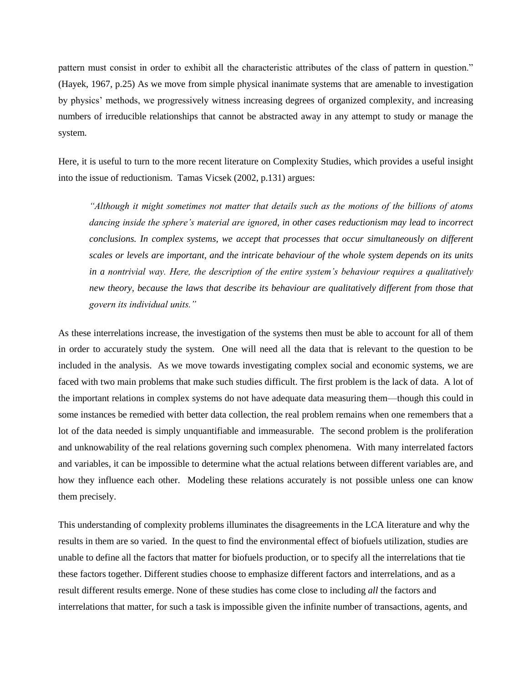pattern must consist in order to exhibit all the characteristic attributes of the class of pattern in question." (Hayek, 1967, p.25) As we move from simple physical inanimate systems that are amenable to investigation by physics' methods, we progressively witness increasing degrees of organized complexity, and increasing numbers of irreducible relationships that cannot be abstracted away in any attempt to study or manage the system.

Here, it is useful to turn to the more recent literature on Complexity Studies, which provides a useful insight into the issue of reductionism. Tamas Vicsek (2002, p.131) argues:

*"Although it might sometimes not matter that details such as the motions of the billions of atoms dancing inside the sphere's material are ignored, in other cases reductionism may lead to incorrect conclusions. In complex systems, we accept that processes that occur simultaneously on different scales or levels are important, and the intricate behaviour of the whole system depends on its units in a nontrivial way. Here, the description of the entire system's behaviour requires a qualitatively new theory, because the laws that describe its behaviour are qualitatively different from those that govern its individual units."*

As these interrelations increase, the investigation of the systems then must be able to account for all of them in order to accurately study the system. One will need all the data that is relevant to the question to be included in the analysis. As we move towards investigating complex social and economic systems, we are faced with two main problems that make such studies difficult. The first problem is the lack of data. A lot of the important relations in complex systems do not have adequate data measuring them—though this could in some instances be remedied with better data collection, the real problem remains when one remembers that a lot of the data needed is simply unquantifiable and immeasurable. The second problem is the proliferation and unknowability of the real relations governing such complex phenomena. With many interrelated factors and variables, it can be impossible to determine what the actual relations between different variables are, and how they influence each other. Modeling these relations accurately is not possible unless one can know them precisely.

This understanding of complexity problems illuminates the disagreements in the LCA literature and why the results in them are so varied. In the quest to find the environmental effect of biofuels utilization, studies are unable to define all the factors that matter for biofuels production, or to specify all the interrelations that tie these factors together. Different studies choose to emphasize different factors and interrelations, and as a result different results emerge. None of these studies has come close to including *all* the factors and interrelations that matter, for such a task is impossible given the infinite number of transactions, agents, and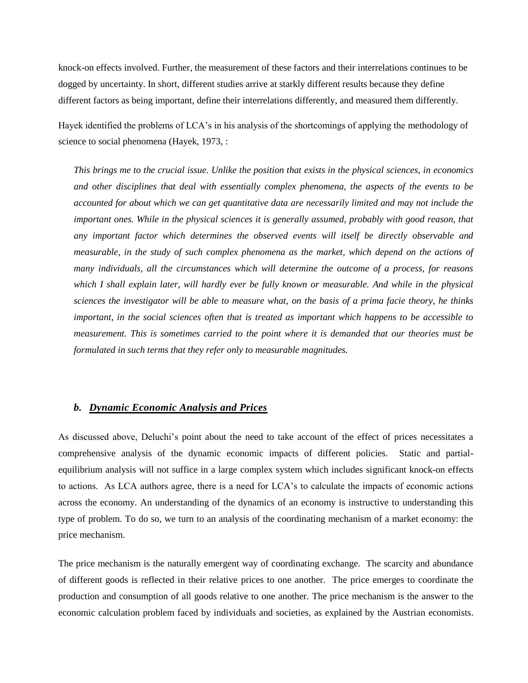knock-on effects involved. Further, the measurement of these factors and their interrelations continues to be dogged by uncertainty. In short, different studies arrive at starkly different results because they define different factors as being important, define their interrelations differently, and measured them differently.

Hayek identified the problems of LCA's in his analysis of the shortcomings of applying the methodology of science to social phenomena (Hayek, 1973, :

*This brings me to the crucial issue. Unlike the position that exists in the physical sciences, in economics and other disciplines that deal with essentially complex phenomena, the aspects of the events to be accounted for about which we can get quantitative data are necessarily limited and may not include the important ones. While in the physical sciences it is generally assumed, probably with good reason, that any important factor which determines the observed events will itself be directly observable and measurable, in the study of such complex phenomena as the market, which depend on the actions of many individuals, all the circumstances which will determine the outcome of a process, for reasons which I shall explain later, will hardly ever be fully known or measurable. And while in the physical sciences the investigator will be able to measure what, on the basis of a prima facie theory, he thinks important, in the social sciences often that is treated as important which happens to be accessible to measurement. This is sometimes carried to the point where it is demanded that our theories must be formulated in such terms that they refer only to measurable magnitudes.*

#### *b. Dynamic Economic Analysis and Prices*

As discussed above, Deluchi's point about the need to take account of the effect of prices necessitates a comprehensive analysis of the dynamic economic impacts of different policies. Static and partialequilibrium analysis will not suffice in a large complex system which includes significant knock-on effects to actions. As LCA authors agree, there is a need for LCA's to calculate the impacts of economic actions across the economy. An understanding of the dynamics of an economy is instructive to understanding this type of problem. To do so, we turn to an analysis of the coordinating mechanism of a market economy: the price mechanism.

The price mechanism is the naturally emergent way of coordinating exchange. The scarcity and abundance of different goods is reflected in their relative prices to one another. The price emerges to coordinate the production and consumption of all goods relative to one another. The price mechanism is the answer to the economic calculation problem faced by individuals and societies, as explained by the Austrian economists.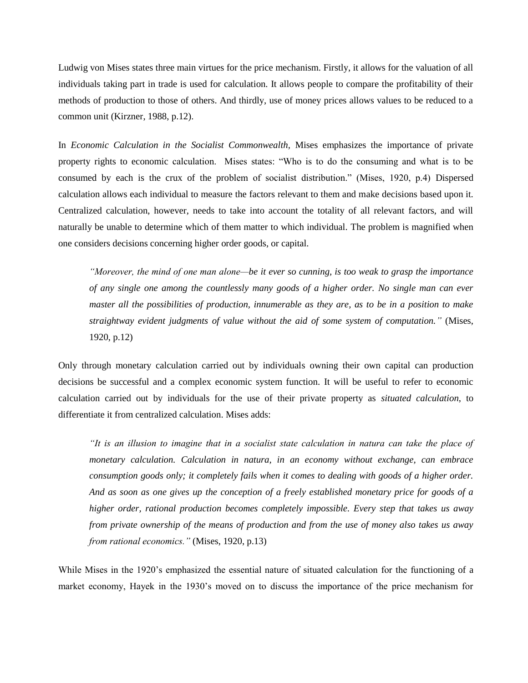Ludwig von Mises states three main virtues for the price mechanism. Firstly, it allows for the valuation of all individuals taking part in trade is used for calculation. It allows people to compare the profitability of their methods of production to those of others. And thirdly, use of money prices allows values to be reduced to a common unit (Kirzner, 1988, p.12).

In *Economic Calculation in the Socialist Commonwealth,* Mises emphasizes the importance of private property rights to economic calculation. Mises states: "Who is to do the consuming and what is to be consumed by each is the crux of the problem of socialist distribution." (Mises, 1920, p.4) Dispersed calculation allows each individual to measure the factors relevant to them and make decisions based upon it. Centralized calculation, however, needs to take into account the totality of all relevant factors, and will naturally be unable to determine which of them matter to which individual. The problem is magnified when one considers decisions concerning higher order goods, or capital.

*"Moreover, the mind of one man alone—be it ever so cunning, is too weak to grasp the importance of any single one among the countlessly many goods of a higher order. No single man can ever master all the possibilities of production, innumerable as they are, as to be in a position to make straightway evident judgments of value without the aid of some system of computation."* (Mises, 1920, p.12)

Only through monetary calculation carried out by individuals owning their own capital can production decisions be successful and a complex economic system function. It will be useful to refer to economic calculation carried out by individuals for the use of their private property as *situated calculation*, to differentiate it from centralized calculation. Mises adds:

*"It is an illusion to imagine that in a socialist state calculation in natura can take the place of monetary calculation. Calculation in natura, in an economy without exchange, can embrace consumption goods only; it completely fails when it comes to dealing with goods of a higher order. And as soon as one gives up the conception of a freely established monetary price for goods of a higher order, rational production becomes completely impossible. Every step that takes us away from private ownership of the means of production and from the use of money also takes us away from rational economics."* (Mises, 1920, p.13)

While Mises in the 1920's emphasized the essential nature of situated calculation for the functioning of a market economy, Hayek in the 1930's moved on to discuss the importance of the price mechanism for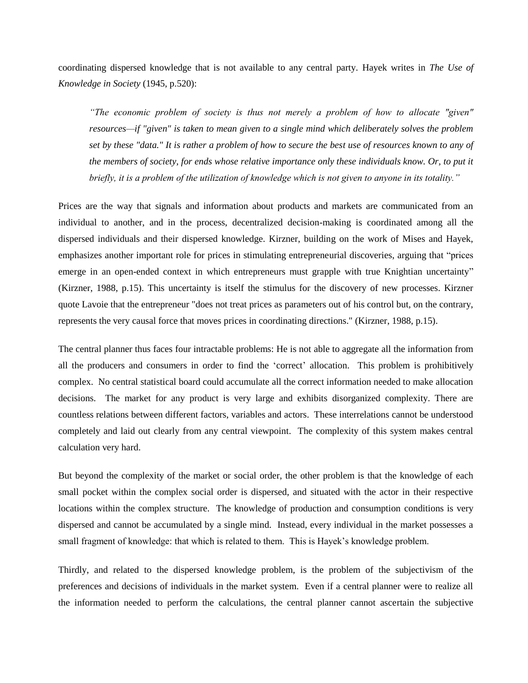coordinating dispersed knowledge that is not available to any central party. Hayek writes in *The Use of Knowledge in Society* (1945, p.520):

*"The economic problem of society is thus not merely a problem of how to allocate "given" resources—if "given" is taken to mean given to a single mind which deliberately solves the problem set by these "data." It is rather a problem of how to secure the best use of resources known to any of the members of society, for ends whose relative importance only these individuals know. Or, to put it briefly, it is a problem of the utilization of knowledge which is not given to anyone in its totality."*

Prices are the way that signals and information about products and markets are communicated from an individual to another, and in the process, decentralized decision-making is coordinated among all the dispersed individuals and their dispersed knowledge. Kirzner, building on the work of Mises and Hayek, emphasizes another important role for prices in stimulating entrepreneurial discoveries, arguing that "prices emerge in an open-ended context in which entrepreneurs must grapple with true Knightian uncertainty" (Kirzner, 1988, p.15). This uncertainty is itself the stimulus for the discovery of new processes. Kirzner quote Lavoie that the entrepreneur "does not treat prices as parameters out of his control but, on the contrary, represents the very causal force that moves prices in coordinating directions." (Kirzner, 1988, p.15).

The central planner thus faces four intractable problems: He is not able to aggregate all the information from all the producers and consumers in order to find the 'correct' allocation. This problem is prohibitively complex. No central statistical board could accumulate all the correct information needed to make allocation decisions. The market for any product is very large and exhibits disorganized complexity. There are countless relations between different factors, variables and actors. These interrelations cannot be understood completely and laid out clearly from any central viewpoint. The complexity of this system makes central calculation very hard.

But beyond the complexity of the market or social order, the other problem is that the knowledge of each small pocket within the complex social order is dispersed, and situated with the actor in their respective locations within the complex structure. The knowledge of production and consumption conditions is very dispersed and cannot be accumulated by a single mind. Instead, every individual in the market possesses a small fragment of knowledge: that which is related to them. This is Hayek's knowledge problem.

Thirdly, and related to the dispersed knowledge problem, is the problem of the subjectivism of the preferences and decisions of individuals in the market system. Even if a central planner were to realize all the information needed to perform the calculations, the central planner cannot ascertain the subjective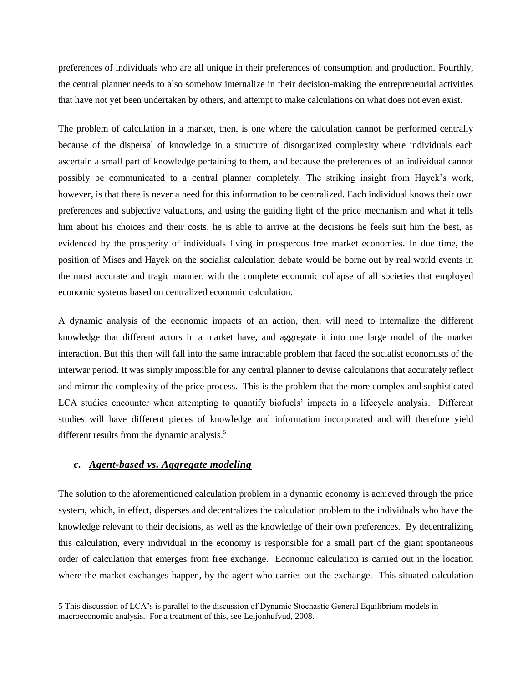preferences of individuals who are all unique in their preferences of consumption and production. Fourthly, the central planner needs to also somehow internalize in their decision-making the entrepreneurial activities that have not yet been undertaken by others, and attempt to make calculations on what does not even exist.

The problem of calculation in a market, then, is one where the calculation cannot be performed centrally because of the dispersal of knowledge in a structure of disorganized complexity where individuals each ascertain a small part of knowledge pertaining to them, and because the preferences of an individual cannot possibly be communicated to a central planner completely. The striking insight from Hayek's work, however, is that there is never a need for this information to be centralized. Each individual knows their own preferences and subjective valuations, and using the guiding light of the price mechanism and what it tells him about his choices and their costs, he is able to arrive at the decisions he feels suit him the best, as evidenced by the prosperity of individuals living in prosperous free market economies. In due time, the position of Mises and Hayek on the socialist calculation debate would be borne out by real world events in the most accurate and tragic manner, with the complete economic collapse of all societies that employed economic systems based on centralized economic calculation.

A dynamic analysis of the economic impacts of an action, then, will need to internalize the different knowledge that different actors in a market have, and aggregate it into one large model of the market interaction. But this then will fall into the same intractable problem that faced the socialist economists of the interwar period. It was simply impossible for any central planner to devise calculations that accurately reflect and mirror the complexity of the price process. This is the problem that the more complex and sophisticated LCA studies encounter when attempting to quantify biofuels' impacts in a lifecycle analysis. Different studies will have different pieces of knowledge and information incorporated and will therefore yield different results from the dynamic analysis.<sup>5</sup>

#### *c. Agent-based vs. Aggregate modeling*

 $\overline{\phantom{a}}$ 

The solution to the aforementioned calculation problem in a dynamic economy is achieved through the price system, which, in effect, disperses and decentralizes the calculation problem to the individuals who have the knowledge relevant to their decisions, as well as the knowledge of their own preferences. By decentralizing this calculation, every individual in the economy is responsible for a small part of the giant spontaneous order of calculation that emerges from free exchange. Economic calculation is carried out in the location where the market exchanges happen, by the agent who carries out the exchange. This situated calculation

<sup>5</sup> This discussion of LCA's is parallel to the discussion of Dynamic Stochastic General Equilibrium models in macroeconomic analysis. For a treatment of this, see Leijonhufvud, 2008.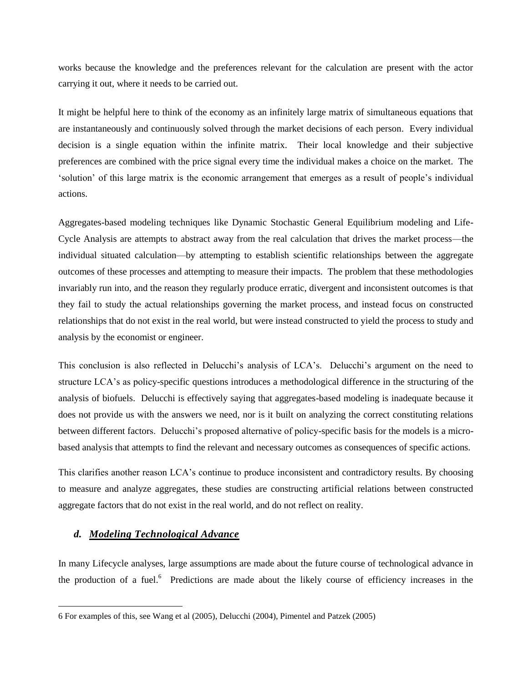works because the knowledge and the preferences relevant for the calculation are present with the actor carrying it out, where it needs to be carried out.

It might be helpful here to think of the economy as an infinitely large matrix of simultaneous equations that are instantaneously and continuously solved through the market decisions of each person. Every individual decision is a single equation within the infinite matrix. Their local knowledge and their subjective preferences are combined with the price signal every time the individual makes a choice on the market. The 'solution' of this large matrix is the economic arrangement that emerges as a result of people's individual actions.

Aggregates-based modeling techniques like Dynamic Stochastic General Equilibrium modeling and Life-Cycle Analysis are attempts to abstract away from the real calculation that drives the market process—the individual situated calculation—by attempting to establish scientific relationships between the aggregate outcomes of these processes and attempting to measure their impacts. The problem that these methodologies invariably run into, and the reason they regularly produce erratic, divergent and inconsistent outcomes is that they fail to study the actual relationships governing the market process, and instead focus on constructed relationships that do not exist in the real world, but were instead constructed to yield the process to study and analysis by the economist or engineer.

This conclusion is also reflected in Delucchi's analysis of LCA's. Delucchi's argument on the need to structure LCA's as policy-specific questions introduces a methodological difference in the structuring of the analysis of biofuels. Delucchi is effectively saying that aggregates-based modeling is inadequate because it does not provide us with the answers we need, nor is it built on analyzing the correct constituting relations between different factors. Delucchi's proposed alternative of policy-specific basis for the models is a microbased analysis that attempts to find the relevant and necessary outcomes as consequences of specific actions.

This clarifies another reason LCA's continue to produce inconsistent and contradictory results. By choosing to measure and analyze aggregates, these studies are constructing artificial relations between constructed aggregate factors that do not exist in the real world, and do not reflect on reality.

#### *d. Modeling Technological Advance*

 $\overline{\phantom{a}}$ 

In many Lifecycle analyses, large assumptions are made about the future course of technological advance in the production of a fuel.<sup>6</sup> Predictions are made about the likely course of efficiency increases in the

<sup>6</sup> For examples of this, see Wang et al (2005), Delucchi (2004), Pimentel and Patzek (2005)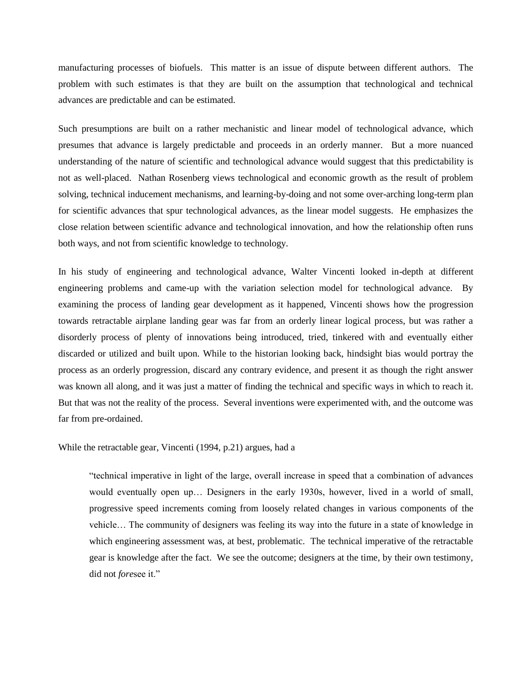manufacturing processes of biofuels. This matter is an issue of dispute between different authors. The problem with such estimates is that they are built on the assumption that technological and technical advances are predictable and can be estimated.

Such presumptions are built on a rather mechanistic and linear model of technological advance, which presumes that advance is largely predictable and proceeds in an orderly manner. But a more nuanced understanding of the nature of scientific and technological advance would suggest that this predictability is not as well-placed. Nathan Rosenberg views technological and economic growth as the result of problem solving, technical inducement mechanisms, and learning-by-doing and not some over-arching long-term plan for scientific advances that spur technological advances, as the linear model suggests. He emphasizes the close relation between scientific advance and technological innovation, and how the relationship often runs both ways, and not from scientific knowledge to technology.

In his study of engineering and technological advance, Walter Vincenti looked in-depth at different engineering problems and came-up with the variation selection model for technological advance. By examining the process of landing gear development as it happened, Vincenti shows how the progression towards retractable airplane landing gear was far from an orderly linear logical process, but was rather a disorderly process of plenty of innovations being introduced, tried, tinkered with and eventually either discarded or utilized and built upon. While to the historian looking back, hindsight bias would portray the process as an orderly progression, discard any contrary evidence, and present it as though the right answer was known all along, and it was just a matter of finding the technical and specific ways in which to reach it. But that was not the reality of the process. Several inventions were experimented with, and the outcome was far from pre-ordained.

While the retractable gear, Vincenti (1994, p.21) argues, had a

"technical imperative in light of the large, overall increase in speed that a combination of advances would eventually open up… Designers in the early 1930s, however, lived in a world of small, progressive speed increments coming from loosely related changes in various components of the vehicle… The community of designers was feeling its way into the future in a state of knowledge in which engineering assessment was, at best, problematic. The technical imperative of the retractable gear is knowledge after the fact. We see the outcome; designers at the time, by their own testimony, did not *fore*see it."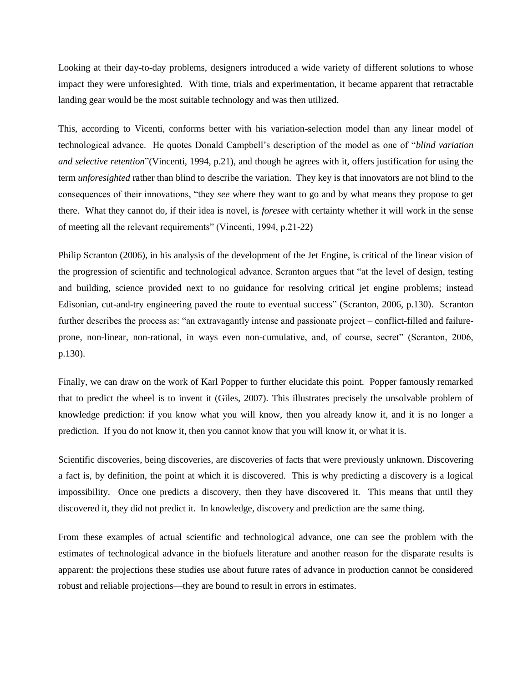Looking at their day-to-day problems, designers introduced a wide variety of different solutions to whose impact they were unforesighted. With time, trials and experimentation, it became apparent that retractable landing gear would be the most suitable technology and was then utilized.

This, according to Vicenti, conforms better with his variation-selection model than any linear model of technological advance. He quotes Donald Campbell's description of the model as one of "*blind variation and selective retention*"(Vincenti, 1994, p.21), and though he agrees with it, offers justification for using the term *unforesighted* rather than blind to describe the variation. They key is that innovators are not blind to the consequences of their innovations, "they *see* where they want to go and by what means they propose to get there. What they cannot do, if their idea is novel, is *foresee* with certainty whether it will work in the sense of meeting all the relevant requirements" (Vincenti, 1994, p.21-22)

Philip Scranton (2006), in his analysis of the development of the Jet Engine, is critical of the linear vision of the progression of scientific and technological advance. Scranton argues that "at the level of design, testing and building, science provided next to no guidance for resolving critical jet engine problems; instead Edisonian, cut-and-try engineering paved the route to eventual success" (Scranton, 2006, p.130). Scranton further describes the process as: "an extravagantly intense and passionate project – conflict-filled and failureprone, non-linear, non-rational, in ways even non-cumulative, and, of course, secret" (Scranton, 2006, p.130).

Finally, we can draw on the work of Karl Popper to further elucidate this point. Popper famously remarked that to predict the wheel is to invent it (Giles, 2007). This illustrates precisely the unsolvable problem of knowledge prediction: if you know what you will know, then you already know it, and it is no longer a prediction. If you do not know it, then you cannot know that you will know it, or what it is.

Scientific discoveries, being discoveries, are discoveries of facts that were previously unknown. Discovering a fact is, by definition, the point at which it is discovered. This is why predicting a discovery is a logical impossibility. Once one predicts a discovery, then they have discovered it. This means that until they discovered it, they did not predict it. In knowledge, discovery and prediction are the same thing.

From these examples of actual scientific and technological advance, one can see the problem with the estimates of technological advance in the biofuels literature and another reason for the disparate results is apparent: the projections these studies use about future rates of advance in production cannot be considered robust and reliable projections—they are bound to result in errors in estimates.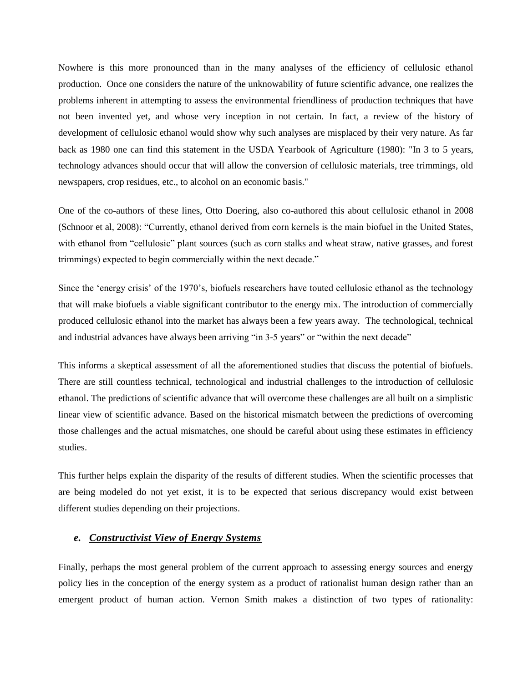Nowhere is this more pronounced than in the many analyses of the efficiency of cellulosic ethanol production. Once one considers the nature of the unknowability of future scientific advance, one realizes the problems inherent in attempting to assess the environmental friendliness of production techniques that have not been invented yet, and whose very inception in not certain. In fact, a review of the history of development of cellulosic ethanol would show why such analyses are misplaced by their very nature. As far back as 1980 one can find this statement in the USDA Yearbook of Agriculture (1980): "In 3 to 5 years, technology advances should occur that will allow the conversion of cellulosic materials, tree trimmings, old newspapers, crop residues, etc., to alcohol on an economic basis."

One of the co-authors of these lines, Otto Doering, also co-authored this about cellulosic ethanol in 2008 (Schnoor et al, 2008): "Currently, ethanol derived from corn kernels is the main biofuel in the United States, with ethanol from "cellulosic" plant sources (such as corn stalks and wheat straw, native grasses, and forest trimmings) expected to begin commercially within the next decade."

Since the 'energy crisis' of the 1970's, biofuels researchers have touted cellulosic ethanol as the technology that will make biofuels a viable significant contributor to the energy mix. The introduction of commercially produced cellulosic ethanol into the market has always been a few years away. The technological, technical and industrial advances have always been arriving "in 3-5 years" or "within the next decade"

This informs a skeptical assessment of all the aforementioned studies that discuss the potential of biofuels. There are still countless technical, technological and industrial challenges to the introduction of cellulosic ethanol. The predictions of scientific advance that will overcome these challenges are all built on a simplistic linear view of scientific advance. Based on the historical mismatch between the predictions of overcoming those challenges and the actual mismatches, one should be careful about using these estimates in efficiency studies.

This further helps explain the disparity of the results of different studies. When the scientific processes that are being modeled do not yet exist, it is to be expected that serious discrepancy would exist between different studies depending on their projections.

### *e. Constructivist View of Energy Systems*

Finally, perhaps the most general problem of the current approach to assessing energy sources and energy policy lies in the conception of the energy system as a product of rationalist human design rather than an emergent product of human action. Vernon Smith makes a distinction of two types of rationality: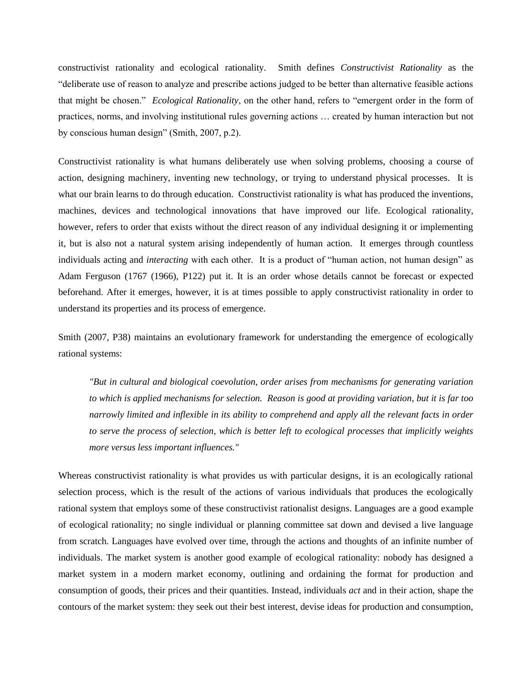constructivist rationality and ecological rationality. Smith defines *Constructivist Rationality* as the "deliberate use of reason to analyze and prescribe actions judged to be better than alternative feasible actions that might be chosen." *Ecological Rationality*, on the other hand, refers to "emergent order in the form of practices, norms, and involving institutional rules governing actions … created by human interaction but not by conscious human design" (Smith, 2007, p.2).

Constructivist rationality is what humans deliberately use when solving problems, choosing a course of action, designing machinery, inventing new technology, or trying to understand physical processes. It is what our brain learns to do through education. Constructivist rationality is what has produced the inventions, machines, devices and technological innovations that have improved our life. Ecological rationality, however, refers to order that exists without the direct reason of any individual designing it or implementing it, but is also not a natural system arising independently of human action. It emerges through countless individuals acting and *interacting* with each other. It is a product of "human action, not human design" as Adam Ferguson (1767 (1966), P122) put it. It is an order whose details cannot be forecast or expected beforehand. After it emerges, however, it is at times possible to apply constructivist rationality in order to understand its properties and its process of emergence.

Smith (2007, P38) maintains an evolutionary framework for understanding the emergence of ecologically rational systems:

*"But in cultural and biological coevolution, order arises from mechanisms for generating variation to which is applied mechanisms for selection. Reason is good at providing variation, but it is far too narrowly limited and inflexible in its ability to comprehend and apply all the relevant facts in order to serve the process of selection, which is better left to ecological processes that implicitly weights more versus less important influences."*

Whereas constructivist rationality is what provides us with particular designs, it is an ecologically rational selection process, which is the result of the actions of various individuals that produces the ecologically rational system that employs some of these constructivist rationalist designs. Languages are a good example of ecological rationality; no single individual or planning committee sat down and devised a live language from scratch. Languages have evolved over time, through the actions and thoughts of an infinite number of individuals. The market system is another good example of ecological rationality: nobody has designed a market system in a modern market economy, outlining and ordaining the format for production and consumption of goods, their prices and their quantities. Instead, individuals *act* and in their action, shape the contours of the market system: they seek out their best interest, devise ideas for production and consumption,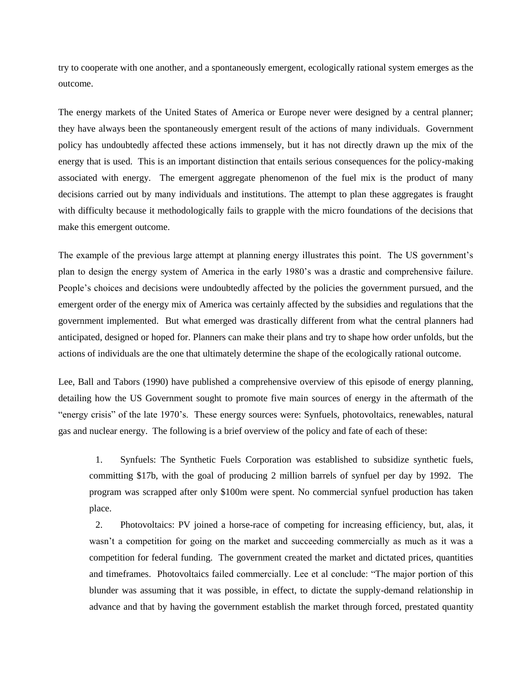try to cooperate with one another, and a spontaneously emergent, ecologically rational system emerges as the outcome.

The energy markets of the United States of America or Europe never were designed by a central planner; they have always been the spontaneously emergent result of the actions of many individuals. Government policy has undoubtedly affected these actions immensely, but it has not directly drawn up the mix of the energy that is used. This is an important distinction that entails serious consequences for the policy-making associated with energy. The emergent aggregate phenomenon of the fuel mix is the product of many decisions carried out by many individuals and institutions. The attempt to plan these aggregates is fraught with difficulty because it methodologically fails to grapple with the micro foundations of the decisions that make this emergent outcome.

The example of the previous large attempt at planning energy illustrates this point. The US government's plan to design the energy system of America in the early 1980's was a drastic and comprehensive failure. People's choices and decisions were undoubtedly affected by the policies the government pursued, and the emergent order of the energy mix of America was certainly affected by the subsidies and regulations that the government implemented. But what emerged was drastically different from what the central planners had anticipated, designed or hoped for. Planners can make their plans and try to shape how order unfolds, but the actions of individuals are the one that ultimately determine the shape of the ecologically rational outcome.

Lee, Ball and Tabors (1990) have published a comprehensive overview of this episode of energy planning, detailing how the US Government sought to promote five main sources of energy in the aftermath of the "energy crisis" of the late 1970's. These energy sources were: Synfuels, photovoltaics, renewables, natural gas and nuclear energy. The following is a brief overview of the policy and fate of each of these:

1. Synfuels: The Synthetic Fuels Corporation was established to subsidize synthetic fuels, committing \$17b, with the goal of producing 2 million barrels of synfuel per day by 1992. The program was scrapped after only \$100m were spent. No commercial synfuel production has taken place.

2. Photovoltaics: PV joined a horse-race of competing for increasing efficiency, but, alas, it wasn't a competition for going on the market and succeeding commercially as much as it was a competition for federal funding. The government created the market and dictated prices, quantities and timeframes. Photovoltaics failed commercially. Lee et al conclude: "The major portion of this blunder was assuming that it was possible, in effect, to dictate the supply-demand relationship in advance and that by having the government establish the market through forced, prestated quantity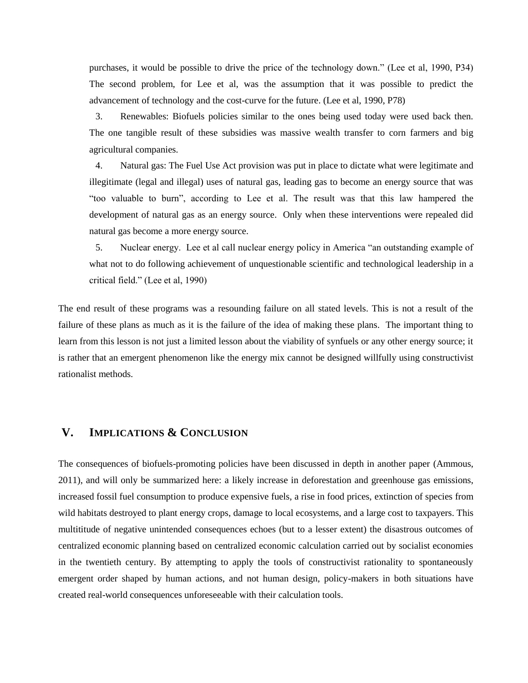purchases, it would be possible to drive the price of the technology down." (Lee et al, 1990, P34) The second problem, for Lee et al, was the assumption that it was possible to predict the advancement of technology and the cost-curve for the future. (Lee et al, 1990, P78)

3. Renewables: Biofuels policies similar to the ones being used today were used back then. The one tangible result of these subsidies was massive wealth transfer to corn farmers and big agricultural companies.

4. Natural gas: The Fuel Use Act provision was put in place to dictate what were legitimate and illegitimate (legal and illegal) uses of natural gas, leading gas to become an energy source that was "too valuable to burn", according to Lee et al. The result was that this law hampered the development of natural gas as an energy source. Only when these interventions were repealed did natural gas become a more energy source.

5. Nuclear energy. Lee et al call nuclear energy policy in America "an outstanding example of what not to do following achievement of unquestionable scientific and technological leadership in a critical field." (Lee et al, 1990)

The end result of these programs was a resounding failure on all stated levels. This is not a result of the failure of these plans as much as it is the failure of the idea of making these plans. The important thing to learn from this lesson is not just a limited lesson about the viability of synfuels or any other energy source; it is rather that an emergent phenomenon like the energy mix cannot be designed willfully using constructivist rationalist methods.

## **V. IMPLICATIONS & CONCLUSION**

The consequences of biofuels-promoting policies have been discussed in depth in another paper (Ammous, 2011), and will only be summarized here: a likely increase in deforestation and greenhouse gas emissions, increased fossil fuel consumption to produce expensive fuels, a rise in food prices, extinction of species from wild habitats destroyed to plant energy crops, damage to local ecosystems, and a large cost to taxpayers. This multititude of negative unintended consequences echoes (but to a lesser extent) the disastrous outcomes of centralized economic planning based on centralized economic calculation carried out by socialist economies in the twentieth century. By attempting to apply the tools of constructivist rationality to spontaneously emergent order shaped by human actions, and not human design, policy-makers in both situations have created real-world consequences unforeseeable with their calculation tools.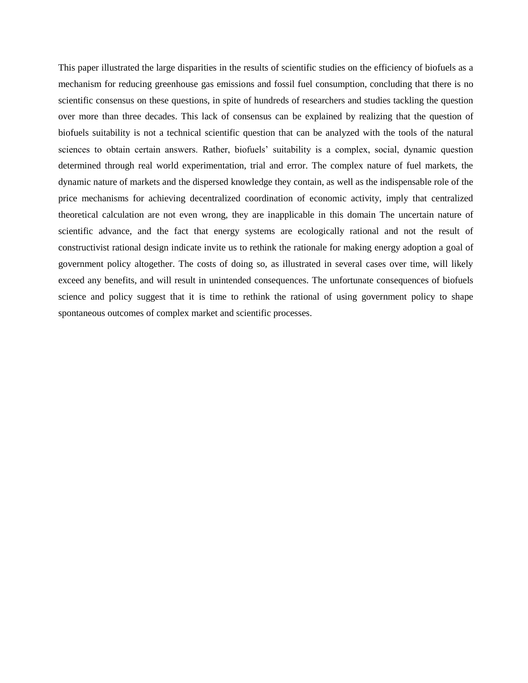This paper illustrated the large disparities in the results of scientific studies on the efficiency of biofuels as a mechanism for reducing greenhouse gas emissions and fossil fuel consumption, concluding that there is no scientific consensus on these questions, in spite of hundreds of researchers and studies tackling the question over more than three decades. This lack of consensus can be explained by realizing that the question of biofuels suitability is not a technical scientific question that can be analyzed with the tools of the natural sciences to obtain certain answers. Rather, biofuels' suitability is a complex, social, dynamic question determined through real world experimentation, trial and error. The complex nature of fuel markets, the dynamic nature of markets and the dispersed knowledge they contain, as well as the indispensable role of the price mechanisms for achieving decentralized coordination of economic activity, imply that centralized theoretical calculation are not even wrong, they are inapplicable in this domain The uncertain nature of scientific advance, and the fact that energy systems are ecologically rational and not the result of constructivist rational design indicate invite us to rethink the rationale for making energy adoption a goal of government policy altogether. The costs of doing so, as illustrated in several cases over time, will likely exceed any benefits, and will result in unintended consequences. The unfortunate consequences of biofuels science and policy suggest that it is time to rethink the rational of using government policy to shape spontaneous outcomes of complex market and scientific processes.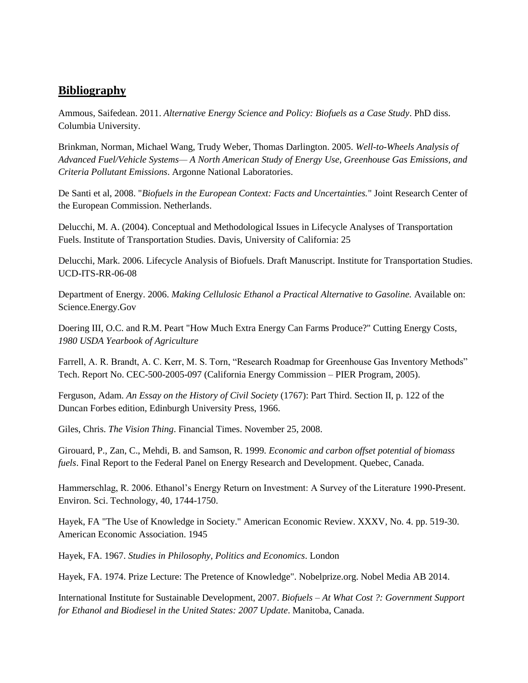## **Bibliography**

Ammous, Saifedean. 2011. *Alternative Energy Science and Policy: Biofuels as a Case Study*. PhD diss. Columbia University.

Brinkman, Norman, Michael Wang, Trudy Weber, Thomas Darlington. 2005. *Well-to-Wheels Analysis of Advanced Fuel/Vehicle Systems— A North American Study of Energy Use, Greenhouse Gas Emissions, and Criteria Pollutant Emissions*. Argonne National Laboratories.

De Santi et al, 2008. "*Biofuels in the European Context: Facts and Uncertainties.*" Joint Research Center of the European Commission. Netherlands.

Delucchi, M. A. (2004). Conceptual and Methodological Issues in Lifecycle Analyses of Transportation Fuels. Institute of Transportation Studies. Davis, University of California: 25

Delucchi, Mark. 2006. Lifecycle Analysis of Biofuels. Draft Manuscript. Institute for Transportation Studies. UCD-ITS-RR-06-08

Department of Energy. 2006. *Making Cellulosic Ethanol a Practical Alternative to Gasoline.* Available on: Science.Energy.Gov

Doering III, O.C. and R.M. Peart "How Much Extra Energy Can Farms Produce?" Cutting Energy Costs, *1980 USDA Yearbook of Agriculture*

Farrell, A. R. Brandt, A. C. Kerr, M. S. Torn, "Research Roadmap for Greenhouse Gas Inventory Methods" Tech. Report No. CEC-500-2005-097 (California Energy Commission – PIER Program, 2005).

Ferguson, Adam. *An Essay on the History of Civil Society* (1767): Part Third. Section II, p. 122 of the Duncan Forbes edition, Edinburgh University Press, 1966.

Giles, Chris. *The Vision Thing*. Financial Times. November 25, 2008.

Girouard, P., Zan, C., Mehdi, B. and Samson, R. 1999. *Economic and carbon offset potential of biomass fuels*. Final Report to the Federal Panel on Energy Research and Development. Quebec, Canada.

Hammerschlag, R. 2006. Ethanol's Energy Return on Investment: A Survey of the Literature 1990-Present. Environ. Sci. Technology, 40, 1744-1750.

Hayek, FA "The Use of Knowledge in Society." American Economic Review. XXXV, No. 4. pp. 519-30. American Economic Association. 1945

Hayek, FA. 1967. *Studies in Philosophy, Politics and Economics*. London

Hayek, FA. 1974. Prize Lecture: The Pretence of Knowledge". Nobelprize.org. Nobel Media AB 2014.

International Institute for Sustainable Development, 2007. *Biofuels – At What Cost ?: Government Support for Ethanol and Biodiesel in the United States: 2007 Update*. Manitoba, Canada.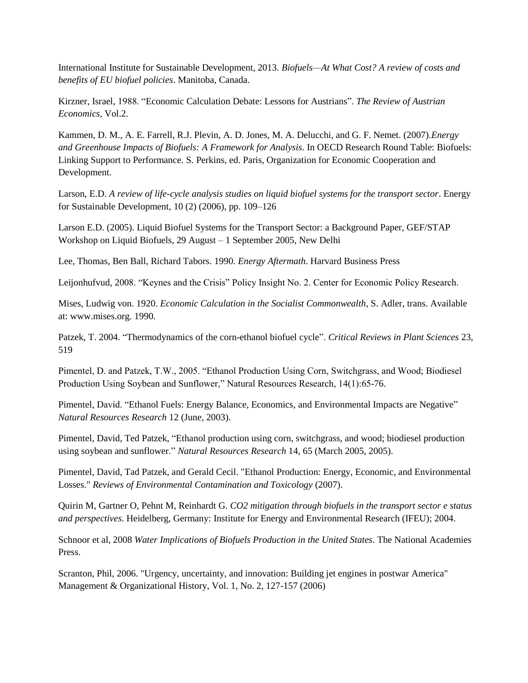International Institute for Sustainable Development, 2013. *Biofuels—At What Cost? A review of costs and benefits of EU biofuel policies*. Manitoba, Canada.

Kirzner, Israel, 1988. "Economic Calculation Debate: Lessons for Austrians". *The Review of Austrian Economics*, Vol.2.

Kammen, D. M., A. E. Farrell, R.J. Plevin, A. D. Jones, M. A. Delucchi, and G. F. Nemet. (2007).*Energy and Greenhouse Impacts of Biofuels: A Framework for Analysis*. In OECD Research Round Table: Biofuels: Linking Support to Performance. S. Perkins, ed. Paris, Organization for Economic Cooperation and Development.

Larson, E.D. *A review of life-cycle analysis studies on liquid biofuel systems for the transport sector*. Energy for Sustainable Development, 10 (2) (2006), pp. 109–126

Larson E.D. (2005). Liquid Biofuel Systems for the Transport Sector: a Background Paper, GEF/STAP Workshop on Liquid Biofuels, 29 August – 1 September 2005, New Delhi

Lee, Thomas, Ben Ball, Richard Tabors. 1990. *Energy Aftermath*. Harvard Business Press

Leijonhufvud, 2008. "Keynes and the Crisis" Policy Insight No. 2. Center for Economic Policy Research.

Mises, Ludwig von. 1920. *Economic Calculation in the Socialist Commonwealth*, S. Adler, trans. Available at: www.mises.org. 1990.

Patzek, T. 2004. "Thermodynamics of the corn-ethanol biofuel cycle". *Critical Reviews in Plant Sciences* 23, 519

Pimentel, D. and Patzek, T.W., 2005. "Ethanol Production Using Corn, Switchgrass, and Wood; Biodiesel Production Using Soybean and Sunflower," Natural Resources Research, 14(1):65-76.

Pimentel, David. "Ethanol Fuels: Energy Balance, Economics, and Environmental Impacts are Negative" *Natural Resources Research* 12 (June, 2003).

Pimentel, David, Ted Patzek, "Ethanol production using corn, switchgrass, and wood; biodiesel production using soybean and sunflower." *Natural Resources Research* 14, 65 (March 2005, 2005).

Pimentel, David, Tad Patzek, and Gerald Cecil. "Ethanol Production: Energy, Economic, and Environmental Losses." *Reviews of Environmental Contamination and Toxicology* (2007).

Quirin M, Gartner O, Pehnt M, Reinhardt G. *CO2 mitigation through biofuels in the transport sector e status and perspectives*. Heidelberg, Germany: Institute for Energy and Environmental Research (IFEU); 2004.

Schnoor et al, 2008 *Water Implications of Biofuels Production in the United States*. The National Academies Press.

Scranton, Phil, 2006. "Urgency, uncertainty, and innovation: Building jet engines in postwar America" Management & Organizational History, Vol. 1, No. 2, 127-157 (2006)